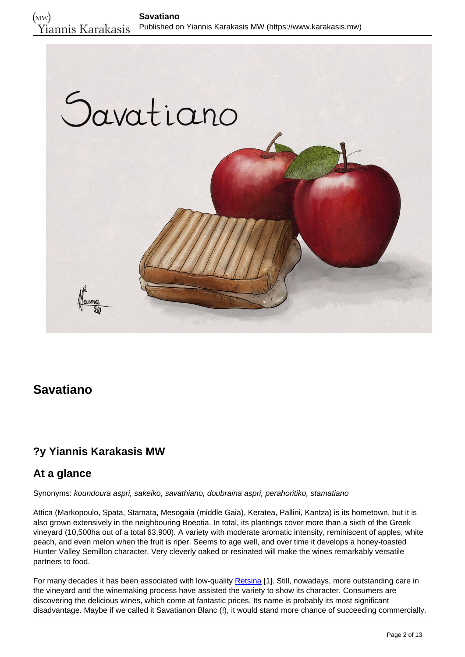

# **Savatiano**

## **?y Yiannis Karakasis MW**

#### **At a glance**

Synonyms: koundoura aspri, sakeiko, savathiano, doubraina aspri, perahoritiko, stamatiano

Attica (Markopoulo, Spata, Stamata, Mesogaia (middle Gaia), Keratea, Pallini, Kantza) is its hometown, but it is also grown extensively in the neighbouring Boeotia. In total, its plantings cover more than a sixth of the Greek vineyard (10,500ha out of a total 63,900). A variety with moderate aromatic intensity, reminiscent of apples, white peach, and even melon when the fruit is riper. Seems to age well, and over time it develops a honey-toasted Hunter Valley Semillon character. Very cleverly oaked or resinated will make the wines remarkably versatile partners to food.

For many decades it has been associated with low-quality [Retsina](https://www.karakasis.mw/controversial-case-retsina) [1]. Still, nowadays, more outstanding care in the vineyard and the winemaking process have assisted the variety to show its character. Consumers are discovering the delicious wines, which come at fantastic prices. Its name is probably its most significant disadvantage. Maybe if we called it Savatianon Blanc (!), it would stand more chance of succeeding commercially.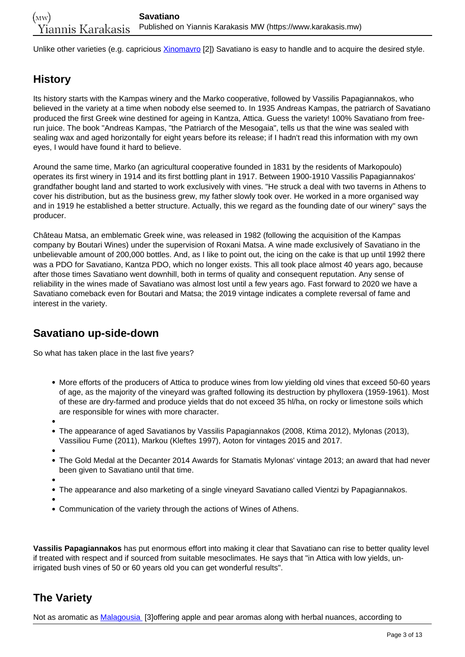Unlike other varieties (e.g. capricious [Xinomavro](https://www.karakasis.mw/greek-varieties/xinomavro) [2]) Savatiano is easy to handle and to acquire the desired style.

# **History**

Its history starts with the Kampas winery and the Marko cooperative, followed by Vassilis Papagiannakos, who believed in the variety at a time when nobody else seemed to. In 1935 Andreas Kampas, the patriarch of Savatiano produced the first Greek wine destined for ageing in Kantza, Attica. Guess the variety! 100% Savatiano from freerun juice. The book "Andreas Kampas, "the Patriarch of the Mesogaia", tells us that the wine was sealed with sealing wax and aged horizontally for eight years before its release; if I hadn't read this information with my own eyes, I would have found it hard to believe.

Around the same time, Marko (an agricultural cooperative founded in 1831 by the residents of Markopoulo) operates its first winery in 1914 and its first bottling plant in 1917. Between 1900-1910 Vassilis Papagiannakos' grandfather bought land and started to work exclusively with vines. "He struck a deal with two taverns in Athens to cover his distribution, but as the business grew, my father slowly took over. He worked in a more organised way and in 1919 he established a better structure. Actually, this we regard as the founding date of our winery" says the producer.

Château Matsa, an emblematic Greek wine, was released in 1982 (following the acquisition of the Kampas company by Boutari Wines) under the supervision of Roxani Matsa. A wine made exclusively of Savatiano in the unbelievable amount of 200,000 bottles. And, as I like to point out, the icing on the cake is that up until 1992 there was a PDO for Savatiano, Kantza PDO, which no longer exists. This all took place almost 40 years ago, because after those times Savatiano went downhill, both in terms of quality and consequent reputation. Any sense of reliability in the wines made of Savatiano was almost lost until a few years ago. Fast forward to 2020 we have a Savatiano comeback even for Boutari and Matsa; the 2019 vintage indicates a complete reversal of fame and interest in the variety.

## **Savatiano up-side-down**

So what has taken place in the last five years?

- More efforts of the producers of Attica to produce wines from low yielding old vines that exceed 50-60 years of age, as the majority of the vineyard was grafted following its destruction by phylloxera (1959-1961). Most of these are dry-farmed and produce yields that do not exceed 35 hl/ha, on rocky or limestone soils which are responsible for wines with more character.
- 
- $\bullet$ The appearance of aged Savatianos by Vassilis Papagiannakos (2008, Ktima 2012), Mylonas (2013), Vassiliou Fume (2011), Markou (Kleftes 1997), Aoton for vintages 2015 and 2017.
- 
- The Gold Medal at the Decanter 2014 Awards for Stamatis Mylonas' vintage 2013; an award that had never been given to Savatiano until that time.
- 
- The appearance and also marketing of a single vineyard Savatiano called Vientzi by Papagiannakos.
- 
- Communication of the variety through the actions of Wines of Athens.

**Vassilis Papagiannakos** has put enormous effort into making it clear that Savatiano can rise to better quality level if treated with respect and if sourced from suitable mesoclimates. He says that "in Attica with low yields, unirrigated bush vines of 50 or 60 years old you can get wonderful results".

# **The Variety**

Not as aromatic as [Malagousia](https://www.karakasis.mw/greek-varieties/malagousia) [3]offering apple and pear aromas along with herbal nuances, according to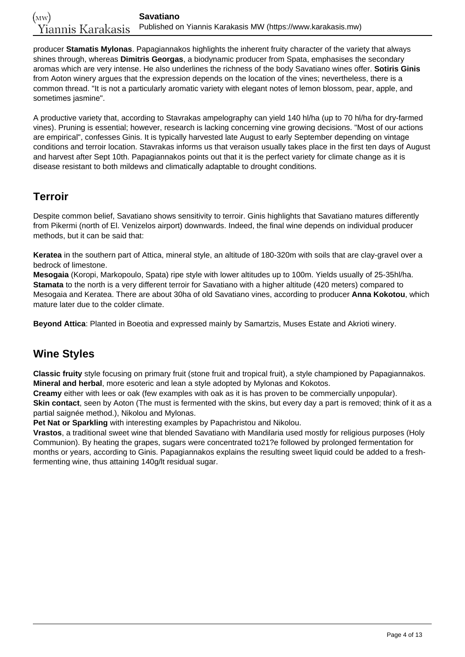producer **Stamatis Mylonas**. Papagiannakos highlights the inherent fruity character of the variety that always shines through, whereas **Dimitris Georgas**, a biodynamic producer from Spata, emphasises the secondary aromas which are very intense. He also underlines the richness of the body Savatiano wines offer. **Sotiris Ginis** from Aoton winery argues that the expression depends on the location of the vines; nevertheless, there is a common thread. "It is not a particularly aromatic variety with elegant notes of lemon blossom, pear, apple, and sometimes jasmine".

A productive variety that, according to Stavrakas ampelography can yield 140 hl/ha (up to 70 hl/ha for dry-farmed vines). Pruning is essential; however, research is lacking concerning vine growing decisions. "Most of our actions are empirical", confesses Ginis. It is typically harvested late August to early September depending on vintage conditions and terroir location. Stavrakas informs us that veraison usually takes place in the first ten days of August and harvest after Sept 10th. Papagiannakos points out that it is the perfect variety for climate change as it is disease resistant to both mildews and climatically adaptable to drought conditions.

## **Terroir**

Despite common belief, Savatiano shows sensitivity to terroir. Ginis highlights that Savatiano matures differently from Pikermi (north of El. Venizelos airport) downwards. Indeed, the final wine depends on individual producer methods, but it can be said that:

**Keratea** in the southern part of Attica, mineral style, an altitude of 180-320m with soils that are clay-gravel over a bedrock of limestone.

**Mesogaia** (Koropi, Markopoulo, Spata) ripe style with lower altitudes up to 100m. Yields usually of 25-35hl/ha. **Stamata** to the north is a very different terroir for Savatiano with a higher altitude (420 meters) compared to Mesogaia and Keratea. There are about 30ha of old Savatiano vines, according to producer **Anna Kokotou**, which mature later due to the colder climate.

**Beyond Attica**: Planted in Boeotia and expressed mainly by Samartzis, Muses Estate and Akrioti winery.

# **Wine Styles**

**Classic fruity** style focusing on primary fruit (stone fruit and tropical fruit), a style championed by Papagiannakos. **Mineral and herbal**, more esoteric and lean a style adopted by Mylonas and Kokotos.

**Creamy** either with lees or oak (few examples with oak as it is has proven to be commercially unpopular). **Skin contact**, seen by Aoton (The must is fermented with the skins, but every day a part is removed; think of it as a partial saignée method.), Nikolou and Mylonas.

**Pet Nat or Sparkling** with interesting examples by Papachristou and Nikolou.

**Vrastos**, a traditional sweet wine that blended Savatiano with Mandilaria used mostly for religious purposes (Holy Communion). By heating the grapes, sugars were concentrated to21?e followed by prolonged fermentation for months or years, according to Ginis. Papagiannakos explains the resulting sweet liquid could be added to a freshfermenting wine, thus attaining 140g/lt residual sugar.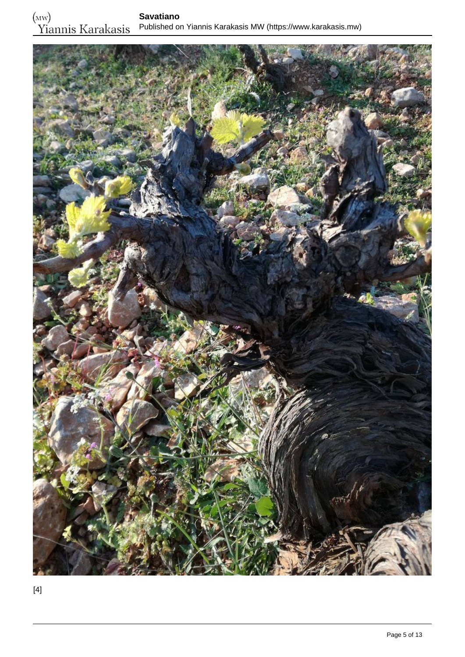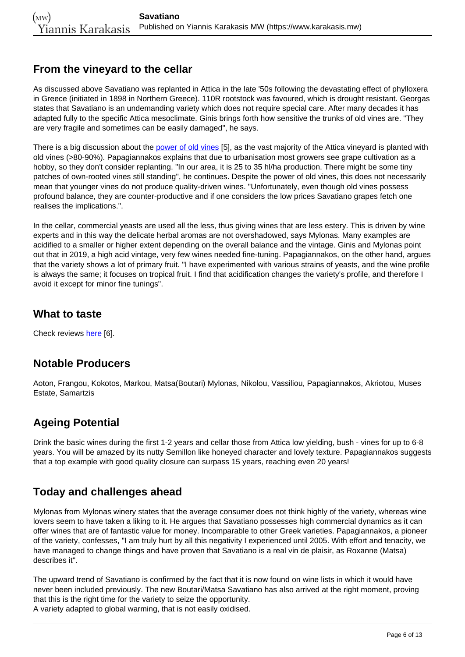## **From the vineyard to the cellar**

As discussed above Savatiano was replanted in Attica in the late '50s following the devastating effect of phylloxera in Greece (initiated in 1898 in Northern Greece). 110R rootstock was favoured, which is drought resistant. Georgas states that Savatiano is an undemanding variety which does not require special care. After many decades it has adapted fully to the specific Attica mesoclimate. Ginis brings forth how sensitive the trunks of old vines are. "They are very fragile and sometimes can be easily damaged", he says.

There is a big discussion about the [power of old vines](https://www.karakasis.mw/evaluating-impact-old-vines) [5], as the vast majority of the Attica vineyard is planted with old vines (>80-90%). Papagiannakos explains that due to urbanisation most growers see grape cultivation as a hobby, so they don't consider replanting. "In our area, it is 25 to 35 hl/ha production. There might be some tiny patches of own-rooted vines still standing", he continues. Despite the power of old vines, this does not necessarily mean that younger vines do not produce quality-driven wines. "Unfortunately, even though old vines possess profound balance, they are counter-productive and if one considers the low prices Savatiano grapes fetch one realises the implications.".

In the cellar, commercial yeasts are used all the less, thus giving wines that are less estery. This is driven by wine experts and in this way the delicate herbal aromas are not overshadowed, says Mylonas. Many examples are acidified to a smaller or higher extent depending on the overall balance and the vintage. Ginis and Mylonas point out that in 2019, a high acid vintage, very few wines needed fine-tuning. Papagiannakos, on the other hand, argues that the variety shows a lot of primary fruit. "I have experimented with various strains of yeasts, and the wine profile is always the same; it focuses on tropical fruit. I find that acidification changes the variety's profile, and therefore I avoid it except for minor fine tunings".

### **What to taste**

Check reviews [here](https://www.karakasis.mw/search/node/savatiano?type=tasting_notes&vintage=) [6].

## **Notable Producers**

Aoton, Frangou, Kokotos, Markou, Matsa(Boutari) Mylonas, Nikolou, Vassiliou, Papagiannakos, Akriotou, Muses Estate, Samartzis

# **Ageing Potential**

Drink the basic wines during the first 1-2 years and cellar those from Attica low yielding, bush - vines for up to 6-8 years. You will be amazed by its nutty Semillon like honeyed character and lovely texture. Papagiannakos suggests that a top example with good quality closure can surpass 15 years, reaching even 20 years!

# **Today and challenges ahead**

Mylonas from Mylonas winery states that the average consumer does not think highly of the variety, whereas wine lovers seem to have taken a liking to it. He argues that Savatiano possesses high commercial dynamics as it can offer wines that are of fantastic value for money. Incomparable to other Greek varieties. Papagiannakos, a pioneer of the variety, confesses, "I am truly hurt by all this negativity I experienced until 2005. With effort and tenacity, we have managed to change things and have proven that Savatiano is a real vin de plaisir, as Roxanne (Matsa) describes it".

The upward trend of Savatiano is confirmed by the fact that it is now found on wine lists in which it would have never been included previously. The new Boutari/Matsa Savatiano has also arrived at the right moment, proving that this is the right time for the variety to seize the opportunity.

A variety adapted to global warming, that is not easily oxidised.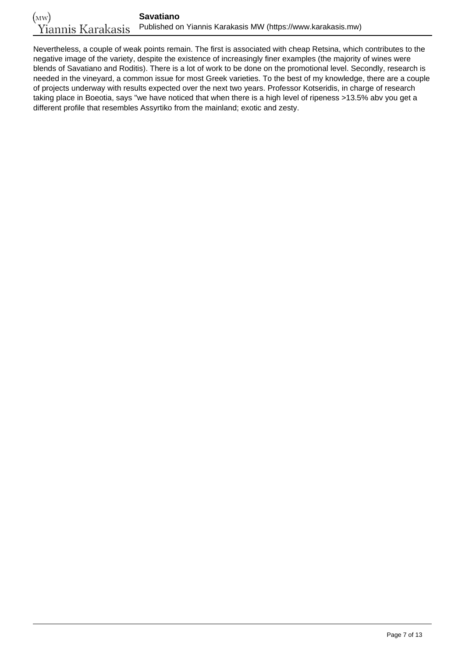Nevertheless, a couple of weak points remain. The first is associated with cheap Retsina, which contributes to the negative image of the variety, despite the existence of increasingly finer examples (the majority of wines were blends of Savatiano and Roditis). There is a lot of work to be done on the promotional level. Secondly, research is needed in the vineyard, a common issue for most Greek varieties. To the best of my knowledge, there are a couple of projects underway with results expected over the next two years. Professor Kotseridis, in charge of research taking place in Boeotia, says "we have noticed that when there is a high level of ripeness >13.5% abv you get a different profile that resembles Assyrtiko from the mainland; exotic and zesty.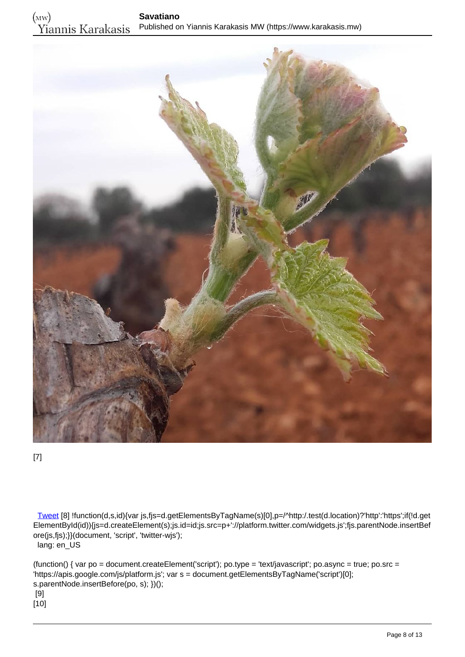

[7]

 [Tweet](https://twitter.com/share) [8] !function(d,s,id){var js,fjs=d.getElementsByTagName(s)[0],p=/^http:/.test(d.location)?'http':'https';if(!d.get ElementById(id)){js=d.createElement(s);js.id=id;js.src=p+'://platform.twitter.com/widgets.js';fjs.parentNode.insertBef ore(js,fjs);}}(document, 'script', 'twitter-wjs'); lang: en\_US

(function() { var po = document.createElement('script'); po.type = 'text/javascript'; po.async = true; po.src = 'https://apis.google.com/js/platform.js'; var s = document.getElementsByTagName('script')[0]; s.parentNode.insertBefore(po, s); })(); [9]  $[10]$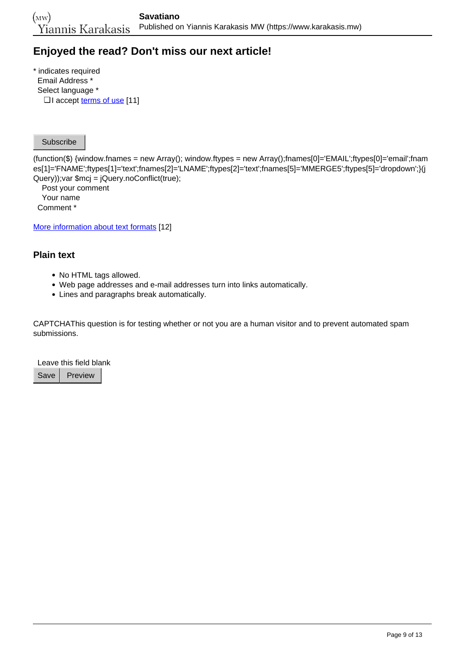## **Enjoyed the read? Don't miss our next article!**

\* indicates required Email Address \* Select language \* □ I accept <u>[terms of use](https://www.karakasis.mw/policy)</u> [11]

Subscribe

(function(\$) {window.fnames = new Array(); window.ftypes = new Array();fnames[0]='EMAIL';ftypes[0]='email';fnam es[1]='FNAME';ftypes[1]='text';fnames[2]='LNAME';ftypes[2]='text';fnames[5]='MMERGE5';ftypes[5]='dropdown';}(j Query));var \$mcj = jQuery.noConflict(true);

 Post your comment Your name Comment \*

[More information about text formats](https://www.karakasis.mw/filter/tips) [12]

#### **Plain text**

- No HTML tags allowed.
- Web page addresses and e-mail addresses turn into links automatically.
- Lines and paragraphs break automatically.

CAPTCHAThis question is for testing whether or not you are a human visitor and to prevent automated spam submissions.

Leave this field blank

Save | Preview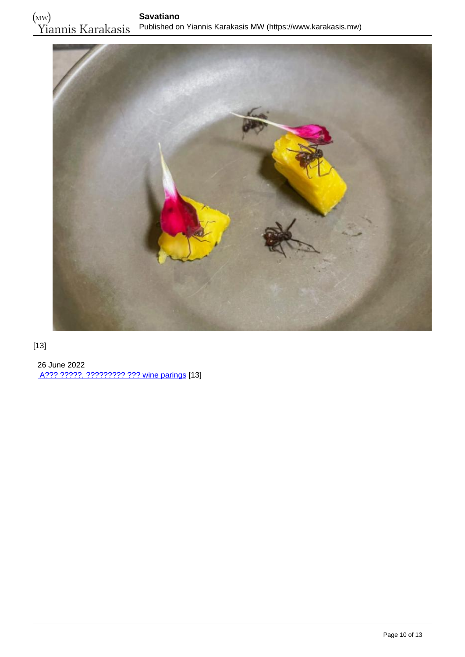

#### [13]

 26 June 2022 [A??? ?????, ????????? ??? wine parings](https://www.karakasis.mw/alex-atala-myrmigkia-kai-wine-parings) [13]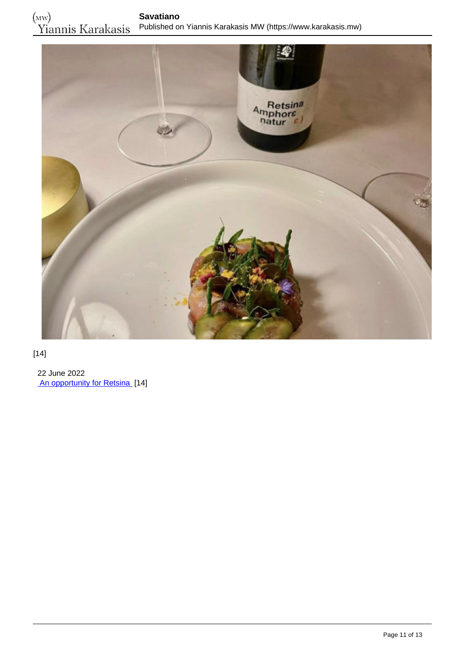

#### [14]

 22 June 2022 [An opportunity for Retsina](https://www.karakasis.mw/opportunity-resinated-wine) [14]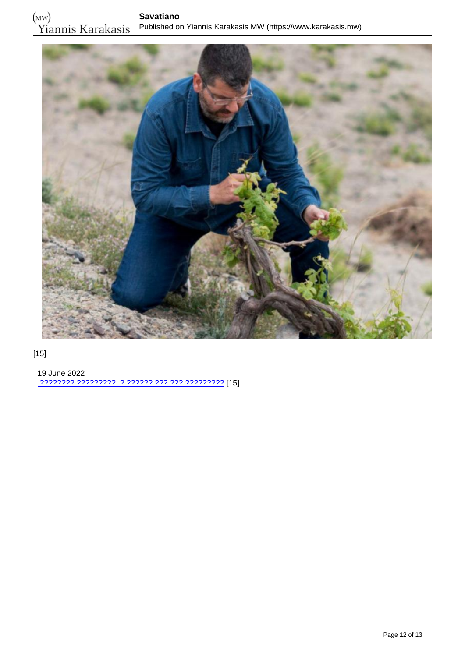

### [15]

 19 June 2022 [???????? ?????????, ? ?????? ??? ??? ?????????](https://www.karakasis.mw/anydroys) [15]